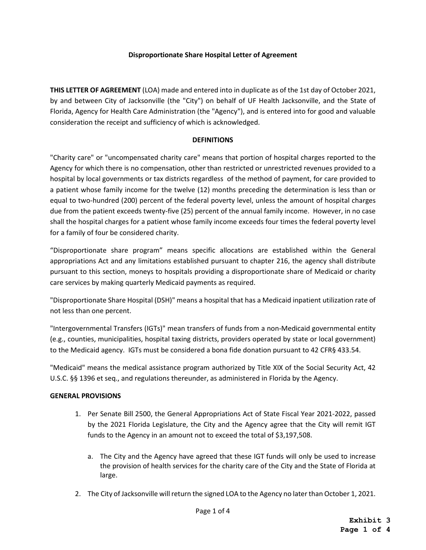## **Disproportionate Share Hospital Letter of Agreement**

**THIS LETTER OF AGREEMENT** (LOA) made and entered into in duplicate as of the 1st day of October 2021, by and between City of Jacksonville (the "City") on behalf of UF Health Jacksonville, and the State of Florida, Agency for Health Care Administration (the "Agency"), and is entered into for good and valuable consideration the receipt and sufficiency of which is acknowledged.

## **DEFINITIONS**

"Charity care" or "uncompensated charity care" means that portion of hospital charges reported to the Agency for which there is no compensation, other than restricted or unrestricted revenues provided to a hospital by local governments or tax districts regardless of the method of payment, for care provided to a patient whose family income for the twelve (12) months preceding the determination is less than or equal to two-hundred (200) percent of the federal poverty level, unless the amount of hospital charges due from the patient exceeds twenty-five (25) percent of the annual family income. However, in no case shall the hospital charges for a patient whose family income exceeds four times the federal poverty level for a family of four be considered charity.

"Disproportionate share program" means specific allocations are established within the General appropriations Act and any limitations established pursuant to chapter 216, the agency shall distribute pursuant to this section, moneys to hospitals providing a disproportionate share of Medicaid or charity care services by making quarterly Medicaid payments as required.

"Disproportionate Share Hospital (DSH)" means a hospital that has a Medicaid inpatient utilization rate of not less than one percent.

"Intergovernmental Transfers (IGTs)" mean transfers of funds from a non-Medicaid governmental entity (e.g., counties, municipalities, hospital taxing districts, providers operated by state or local government) to the Medicaid agency. IGTs must be considered a bona fide donation pursuant to 42 CFR§ 433.54.

"Medicaid" means the medical assistance program authorized by Title XIX of the Social Security Act, 42 U.S.C. §§ 1396 et seq., and regulations thereunder, as administered in Florida by the Agency.

## **GENERAL PROVISIONS**

- 1. Per Senate Bill 2500, the General Appropriations Act of State Fiscal Year 2021-2022, passed by the 2021 Florida Legislature, the City and the Agency agree that the City will remit IGT funds to the Agency in an amount not to exceed the total of \$3,197,508.
	- a. The City and the Agency have agreed that these IGT funds will only be used to increase the provision of health services for the charity care of the City and the State of Florida at large.
- 2. The City of Jacksonville will return the signed LOA to the Agency no later than October 1, 2021.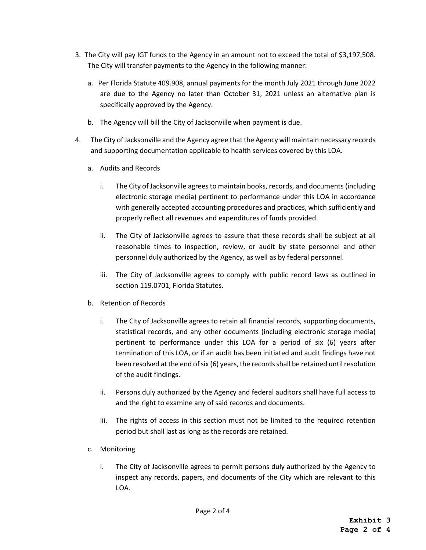- 3. The City will pay IGT funds to the Agency in an amount not to exceed the total of \$3,197,508. The City will transfer payments to the Agency in the following manner:
	- a. Per Florida Statute 409.908, annual payments for the month July 2021 through June 2022 are due to the Agency no later than October 31, 2021 unless an alternative plan is specifically approved by the Agency.
	- b. The Agency will bill the City of Jacksonville when payment is due.
- 4. The City of Jacksonville and the Agency agree that the Agency will maintain necessary records and supporting documentation applicable to health services covered by this LOA.
	- a. Audits and Records
		- i. The City of Jacksonville agrees to maintain books, records, and documents (including electronic storage media) pertinent to performance under this LOA in accordance with generally accepted accounting procedures and practices, which sufficiently and properly reflect all revenues and expenditures of funds provided.
		- ii. The City of Jacksonville agrees to assure that these records shall be subject at all reasonable times to inspection, review, or audit by state personnel and other personnel duly authorized by the Agency, as well as by federal personnel.
		- iii. The City of Jacksonville agrees to comply with public record laws as outlined in section 119.0701, Florida Statutes.
	- b. Retention of Records
		- i. The City of Jacksonville agrees to retain all financial records, supporting documents, statistical records, and any other documents (including electronic storage media) pertinent to performance under this LOA for a period of six (6) years after termination of this LOA, or if an audit has been initiated and audit findings have not been resolved at the end of six (6) years, the records shall be retained until resolution of the audit findings.
		- ii. Persons duly authorized by the Agency and federal auditors shall have full access to and the right to examine any of said records and documents.
		- iii. The rights of access in this section must not be limited to the required retention period but shall last as long as the records are retained.
	- c. Monitoring
		- i. The City of Jacksonville agrees to permit persons duly authorized by the Agency to inspect any records, papers, and documents of the City which are relevant to this LOA.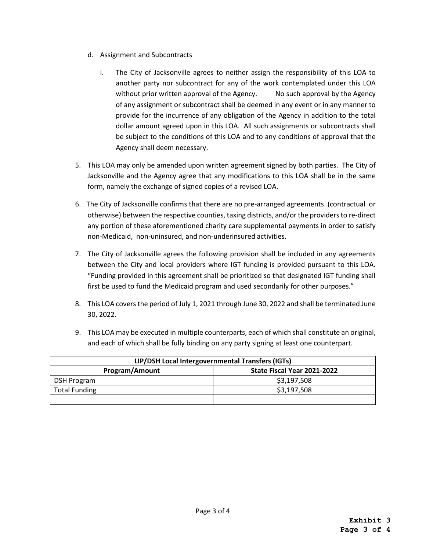- d. Assignment and Subcontracts
	- i. The City of Jacksonville agrees to neither assign the responsibility of this LOA to another party nor subcontract for any of the work contemplated under this LOA without prior written approval of the Agency. No such approval by the Agency of any assignment or subcontract shall be deemed in any event or in any manner to provide for the incurrence of any obligation of the Agency in addition to the total dollar amount agreed upon in this LOA. All such assignments or subcontracts shall be subject to the conditions of this LOA and to any conditions of approval that the Agency shall deem necessary.
- 5. This LOA may only be amended upon written agreement signed by both parties. The City of Jacksonville and the Agency agree that any modifications to this LOA shall be in the same form, namely the exchange of signed copies of a revised LOA.
- 6. The City of Jacksonville confirms that there are no pre-arranged agreements (contractual or otherwise) between the respective counties, taxing districts, and/or the providers to re-direct any portion of these aforementioned charity care supplemental payments in order to satisfy non-Medicaid, non-uninsured, and non-underinsured activities.
- 7. The City of Jacksonville agrees the following provision shall be included in any agreements between the City and local providers where IGT funding is provided pursuant to this LOA. "Funding provided in this agreement shall be prioritized so that designated IGT funding shall first be used to fund the Medicaid program and used secondarily for other purposes."
- 8. This LOA covers the period of July 1, 2021 through June 30, 2022 and shall be terminated June 30, 2022.
- 9. This LOA may be executed in multiple counterparts, each of which shall constitute an original, and each of which shall be fully binding on any party signing at least one counterpart.

| LIP/DSH Local Intergovernmental Transfers (IGTs) |                             |
|--------------------------------------------------|-----------------------------|
| Program/Amount                                   | State Fiscal Year 2021-2022 |
| DSH Program                                      | \$3,197,508                 |
| <b>Total Funding</b>                             | \$3,197,508                 |
|                                                  |                             |